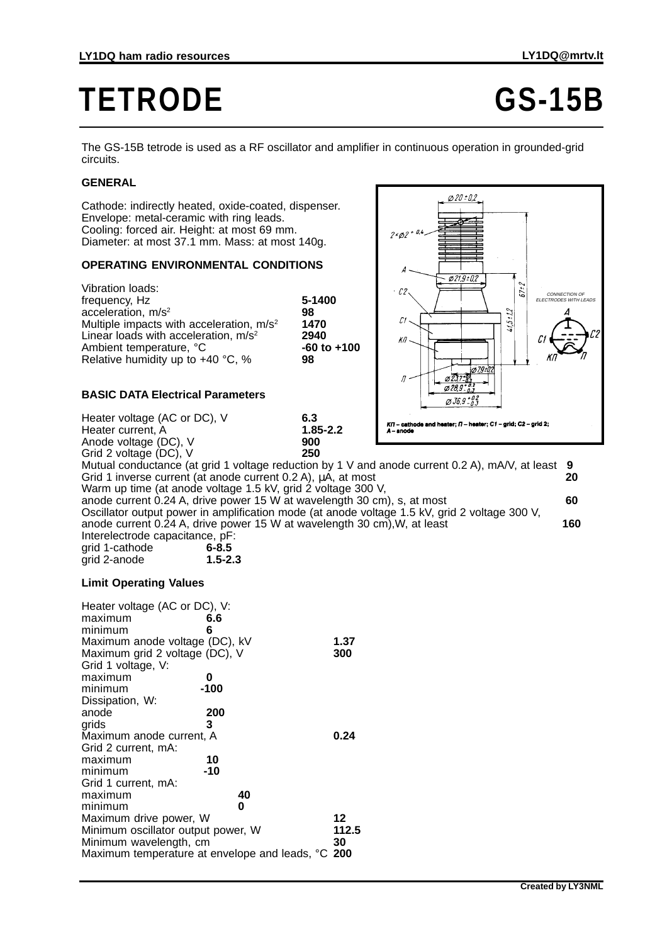# **TETRODE GS-15B**

The GS-15B tetrode is used as a RF oscillator and amplifier in continuous operation in grounded-grid circuits.

### **GENERAL**

Cathode: indirectly heated, oxide-coated, dispenser. Envelope: metal-ceramic with ring leads. Cooling: forced air. Height: at most 69 mm. Diameter: at most 37.1 mm. Mass: at most 140g.

### **OPERATING ENVIRONMENTAL CONDITIONS**

Vibration loads: frequency, Hz **5-1400** acceleration, m/s<sup>2</sup> 98<br>
Multiple impacts with acceleration, m/s<sup>2</sup> 1470 Multiple impacts with acceleration, m/s<sup>2</sup> **1470**<br>Linear loads with acceleration, m/s<sup>2</sup> **2940** Linear loads with acceleration, m/s<sup>2</sup> **2940**<br>Ambient temperature, °C **2000 100 100** Ambient temperature, °C **-60**<br>Relative humidity up to +40 °C. % 98 Relative humidity up to +40 °C, %



## **BASIC DATA Electrical Parameters**

Heater voltage (AC or DC), V<br>
Heater current, A **1.85-2.2** Heater current, A **1.85**<br>Anode voltage (DC) V **2000** 

Anode voltage (DC), V **900** Grid 2 voltage (DC), V Mutual conductance (at grid 1 voltage reduction by 1 V and anode current 0.2 A), mA/V, at least **9** Grid 1 inverse current (at anode current 0.2 A), μA, at most **20** Warm up time (at anode voltage 1.5 kV, grid 2 voltage 300 V, anode current 0.24 A, drive power 15 W at wavelength 30 cm), s, at most **60** Oscillator output power in amplification mode (at anode voltage 1.5 kV, grid 2 voltage 300 V, anode current 0.24 A, drive power 15 W at wavelength 30 cm),W, at least **160** Interelectrode capacitance, pF:<br>
grid 1-cathode 6-8.5 grid 1-cathode **6-8.5** grid 2-anode **1.5-2.3**

#### **Limit Operating Values**

| Heater voltage (AC or DC), V:<br>maximum<br>minimum<br>Maximum anode voltage (DC), kV<br>Maximum grid 2 voltage (DC), V<br>Grid 1 voltage, V: | 6.6<br>6 | 1.37<br>300 |
|-----------------------------------------------------------------------------------------------------------------------------------------------|----------|-------------|
| maximum                                                                                                                                       | 0        |             |
| minimum                                                                                                                                       | $-100$   |             |
| Dissipation, W:                                                                                                                               |          |             |
| anode                                                                                                                                         | 200      |             |
| grids                                                                                                                                         | 3        |             |
| Maximum anode current, A                                                                                                                      |          | 0.24        |
| Grid 2 current, mA:                                                                                                                           |          |             |
| maximum                                                                                                                                       | 10       |             |
| minimum                                                                                                                                       | -10      |             |
| Grid 1 current, mA:                                                                                                                           |          |             |
| maximum                                                                                                                                       | 40       |             |
| minimum                                                                                                                                       | 0        |             |
| Maximum drive power, W                                                                                                                        |          | 12          |
| 112.5<br>Minimum oscillator output power, W                                                                                                   |          |             |
| Minimum wavelength, cm                                                                                                                        |          | 30          |
| Maximum temperature at envelope and leads, °C 200                                                                                             |          |             |